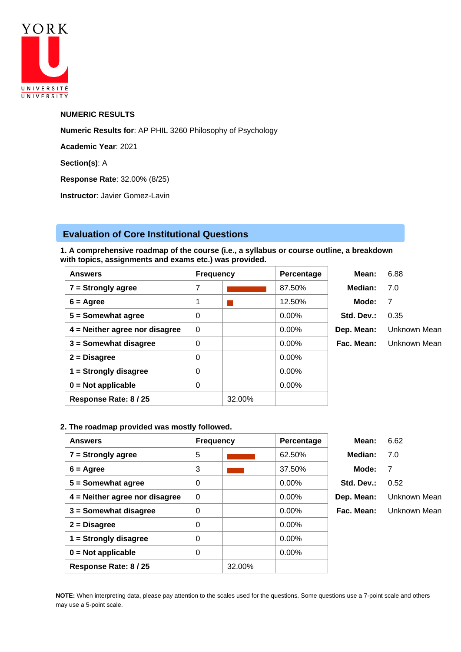

## **NUMERIC RESULTS**

**Numeric Results for**: AP PHIL 3260 Philosophy of Psychology

**Academic Year**: 2021

**Section(s)**: A

**Response Rate**: 32.00% (8/25)

**Instructor**: Javier Gomez-Lavin

# **Evaluation of Core Institutional Questions**

**1. A comprehensive roadmap of the course (i.e., a syllabus or course outline, a breakdown with topics, assignments and exams etc.) was provided.**

| <b>Answers</b>                   | <b>Frequency</b> |        | Percentage | Mean:      | 6.88         |
|----------------------------------|------------------|--------|------------|------------|--------------|
| $7 =$ Strongly agree             | 7                |        | 87.50%     | Median:    | 7.0          |
| $6 = \text{Agree}$               | 1                |        | 12.50%     | Mode:      | 7            |
| $5 =$ Somewhat agree             | 0                |        | $0.00\%$   | Std. Dev.: | 0.35         |
| $4$ = Neither agree nor disagree | $\Omega$         |        | $0.00\%$   | Dep. Mean: | Unknown Mean |
| $3 =$ Somewhat disagree          | 0                |        | $0.00\%$   | Fac. Mean: | Unknown Mean |
| $2 = Disagree$                   | $\Omega$         |        | $0.00\%$   |            |              |
| $1 =$ Strongly disagree          | 0                |        | $0.00\%$   |            |              |
| $0 = Not applicable$             | $\Omega$         |        | $0.00\%$   |            |              |
| Response Rate: 8 / 25            |                  | 32.00% |            |            |              |

# **2. The roadmap provided was mostly followed.**

| <b>Answers</b>                   | <b>Frequency</b> |        | Percentage | Mean:      | 6.62         |
|----------------------------------|------------------|--------|------------|------------|--------------|
| $7 =$ Strongly agree             | 5                |        | 62.50%     | Median:    | 7.0          |
| $6 = \text{Agree}$               | 3                |        | 37.50%     | Mode:      | 7            |
| $5 =$ Somewhat agree             | 0                |        | $0.00\%$   | Std. Dev.: | 0.52         |
| $4$ = Neither agree nor disagree | $\Omega$         |        | $0.00\%$   | Dep. Mean: | Unknown Mean |
| 3 = Somewhat disagree            | 0                |        | $0.00\%$   | Fac. Mean: | Unknown Mean |
| $2 = Disagree$                   | 0                |        | $0.00\%$   |            |              |
| $1 =$ Strongly disagree          | 0                |        | $0.00\%$   |            |              |
| $0 = Not applicable$             | 0                |        | 0.00%      |            |              |
| Response Rate: 8 / 25            |                  | 32.00% |            |            |              |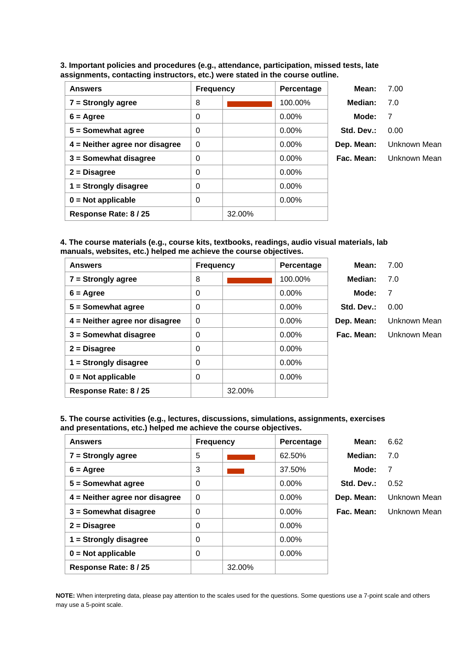**3. Important policies and procedures (e.g., attendance, participation, missed tests, late assignments, contacting instructors, etc.) were stated in the course outline.**

| <b>Answers</b>                   | <b>Frequency</b> |        | Percentage | Mean:      | 7.00         |
|----------------------------------|------------------|--------|------------|------------|--------------|
| $7 =$ Strongly agree             | 8                |        | 100.00%    | Median:    | 7.0          |
| $6 = \text{Agree}$               | 0                |        | $0.00\%$   | Mode:      | 7            |
| $5 =$ Somewhat agree             | 0                |        | $0.00\%$   | Std. Dev.: | 0.00         |
| $4$ = Neither agree nor disagree | $\mathbf 0$      |        | $0.00\%$   | Dep. Mean: | Unknown Mean |
| $3 =$ Somewhat disagree          | 0                |        | $0.00\%$   | Fac. Mean: | Unknown Mean |
| $2 = Disagree$                   | 0                |        | $0.00\%$   |            |              |
| $1 =$ Strongly disagree          | 0                |        | $0.00\%$   |            |              |
| $0 = Not applicable$             | 0                |        | $0.00\%$   |            |              |
| Response Rate: 8 / 25            |                  | 32.00% |            |            |              |

**4. The course materials (e.g., course kits, textbooks, readings, audio visual materials, lab manuals, websites, etc.) helped me achieve the course objectives.**

| <b>Answers</b>                   | <b>Frequency</b> |        | Percentage | Mean:      | 7.00         |
|----------------------------------|------------------|--------|------------|------------|--------------|
| $7 =$ Strongly agree             | 8                |        | 100.00%    | Median:    | 7.0          |
| $6 = \text{Agree}$               | 0                |        | $0.00\%$   | Mode:      | 7            |
| $5 =$ Somewhat agree             | 0                |        | $0.00\%$   | Std. Dev.: | 0.00         |
| $4$ = Neither agree nor disagree | $\Omega$         |        | 0.00%      | Dep. Mean: | Unknown Mean |
| $3 =$ Somewhat disagree          | 0                |        | $0.00\%$   | Fac. Mean: | Unknown Mean |
| $2 = Disagree$                   | 0                |        | $0.00\%$   |            |              |
| $1 =$ Strongly disagree          | 0                |        | 0.00%      |            |              |
| $0 = Not applicable$             | 0                |        | $0.00\%$   |            |              |
| Response Rate: 8/25              |                  | 32.00% |            |            |              |

**5. The course activities (e.g., lectures, discussions, simulations, assignments, exercises and presentations, etc.) helped me achieve the course objectives.**

| <b>Answers</b>                   | <b>Frequency</b> |        | Percentage | Mean:      | 6.62           |
|----------------------------------|------------------|--------|------------|------------|----------------|
| $7 =$ Strongly agree             | 5                |        | 62.50%     | Median:    | 7.0            |
| $6 = \text{Agree}$               | 3                |        | 37.50%     | Mode:      | $\overline{7}$ |
| $5 =$ Somewhat agree             | $\Omega$         |        | $0.00\%$   | Std. Dev.: | 0.52           |
| $4$ = Neither agree nor disagree | $\Omega$         |        | $0.00\%$   | Dep. Mean: | Unknown Mean   |
| $3 =$ Somewhat disagree          | 0                |        | 0.00%      | Fac. Mean: | Unknown Mean   |
| $2 = Disagree$                   | $\Omega$         |        | $0.00\%$   |            |                |
| $1 =$ Strongly disagree          | $\Omega$         |        | $0.00\%$   |            |                |
| $0 = Not applicable$             | 0                |        | $0.00\%$   |            |                |
| Response Rate: 8 / 25            |                  | 32.00% |            |            |                |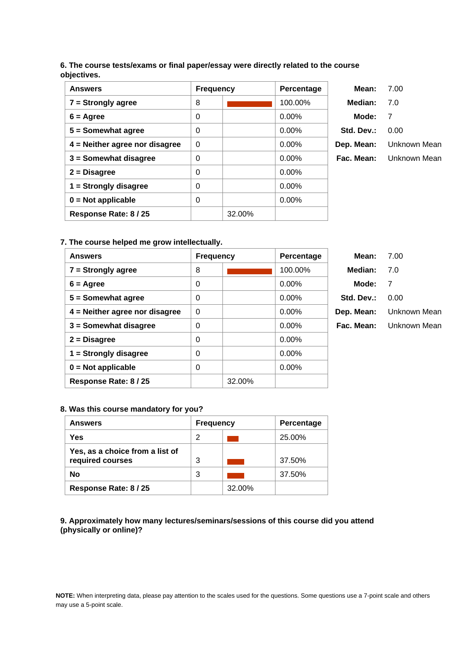# **6. The course tests/exams or final paper/essay were directly related to the course objectives.**

| <b>Answers</b>                   | <b>Frequency</b> |        | Percentage | Mean:      | 7.00         |
|----------------------------------|------------------|--------|------------|------------|--------------|
| $7 =$ Strongly agree             | 8                |        | 100.00%    | Median:    | 7.0          |
| $6 = \text{Agree}$               | 0                |        | $0.00\%$   | Mode:      | -7           |
| $5 =$ Somewhat agree             | 0                |        | $0.00\%$   | Std. Dev.: | 0.00         |
| $4$ = Neither agree nor disagree | $\Omega$         |        | $0.00\%$   | Dep. Mean: | Unknown Mean |
| $3 =$ Somewhat disagree          | 0                |        | $0.00\%$   | Fac. Mean: | Unknown Mean |
| $2 = Disagree$                   | 0                |        | 0.00%      |            |              |
| $1 =$ Strongly disagree          | 0                |        | $0.00\%$   |            |              |
| $0 = Not applicable$             | 0                |        | $0.00\%$   |            |              |
| Response Rate: 8/25              |                  | 32.00% |            |            |              |

# **7. The course helped me grow intellectually.**

| <b>Answers</b>                   | <b>Frequency</b> |        | Percentage | Mean:      | 7.00         |
|----------------------------------|------------------|--------|------------|------------|--------------|
| $7 =$ Strongly agree             | 8                |        | 100.00%    | Median:    | 7.0          |
| $6 = \text{Agree}$               | 0                |        | $0.00\%$   | Mode:      | 7            |
| $5 =$ Somewhat agree             | 0                |        | $0.00\%$   | Std. Dev.: | 0.00         |
| $4$ = Neither agree nor disagree | $\Omega$         |        | $0.00\%$   | Dep. Mean: | Unknown Mean |
| $3 =$ Somewhat disagree          | 0                |        | $0.00\%$   | Fac. Mean: | Unknown Mean |
| $2 = Disagree$                   | 0                |        | $0.00\%$   |            |              |
| $1 =$ Strongly disagree          | 0                |        | $0.00\%$   |            |              |
| $0 = Not applicable$             | 0                |        | $0.00\%$   |            |              |
| Response Rate: 8 / 25            |                  | 32.00% |            |            |              |

# **8. Was this course mandatory for you?**

| <b>Answers</b>                                      | <b>Frequency</b> |        | <b>Percentage</b> |
|-----------------------------------------------------|------------------|--------|-------------------|
| Yes                                                 | 2                |        | 25.00%            |
| Yes, as a choice from a list of<br>required courses | 3                |        | 37.50%            |
| <b>No</b>                                           | 3                |        | 37.50%            |
| Response Rate: 8 / 25                               |                  | 32.00% |                   |

**9. Approximately how many lectures/seminars/sessions of this course did you attend (physically or online)?**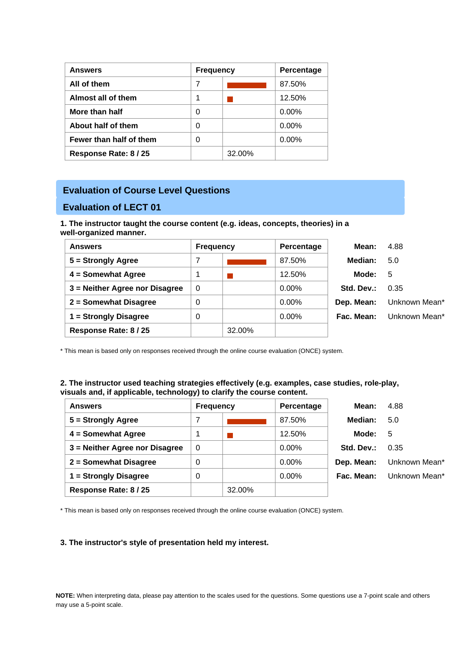| <b>Answers</b>          | <b>Frequency</b> |        | Percentage |
|-------------------------|------------------|--------|------------|
| All of them             | 7                |        | 87.50%     |
| Almost all of them      |                  |        | 12.50%     |
| More than half          |                  |        | $0.00\%$   |
| About half of them      | 0                |        | $0.00\%$   |
| Fewer than half of them | ი                |        | $0.00\%$   |
| Response Rate: 8 / 25   |                  | 32.00% |            |

# **Evaluation of Course Level Questions**

# **Evaluation of LECT 01**

**1. The instructor taught the course content (e.g. ideas, concepts, theories) in a well-organized manner.**

| <b>Answers</b>                 | <b>Frequency</b> |        | Percentage | Mean:      | 4.88          |
|--------------------------------|------------------|--------|------------|------------|---------------|
| $5 =$ Strongly Agree           |                  |        | 87.50%     | Median:    | 5.0           |
| 4 = Somewhat Agree             |                  |        | 12.50%     | Mode:      | 5             |
| 3 = Neither Agree nor Disagree | 0                |        | $0.00\%$   | Std. Dev.: | 0.35          |
| 2 = Somewhat Disagree          | 0                |        | 0.00%      | Dep. Mean: | Unknown Mean* |
| 1 = Strongly Disagree          | 0                |        | $0.00\%$   | Fac. Mean: | Unknown Mean* |
| Response Rate: 8 / 25          |                  | 32.00% |            |            |               |

\* This mean is based only on responses received through the online course evaluation (ONCE) system.

## **2. The instructor used teaching strategies effectively (e.g. examples, case studies, role-play, visuals and, if applicable, technology) to clarify the course content.**

| <b>Answers</b>                 | <b>Frequency</b> |        | Percentage | Mean:      | 4.88          |
|--------------------------------|------------------|--------|------------|------------|---------------|
| $5 =$ Strongly Agree           | 7                |        | 87.50%     | Median:    | 5.0           |
| 4 = Somewhat Agree             | 1                |        | 12.50%     | Mode:      | 5             |
| 3 = Neither Agree nor Disagree | 0                |        | $0.00\%$   | Std. Dev.: | 0.35          |
| 2 = Somewhat Disagree          | 0                |        | 0.00%      | Dep. Mean: | Unknown Mean* |
| 1 = Strongly Disagree          | 0                |        | 0.00%      | Fac. Mean: | Unknown Mean* |
| Response Rate: 8 / 25          |                  | 32.00% |            |            |               |

\* This mean is based only on responses received through the online course evaluation (ONCE) system.

## **3. The instructor's style of presentation held my interest.**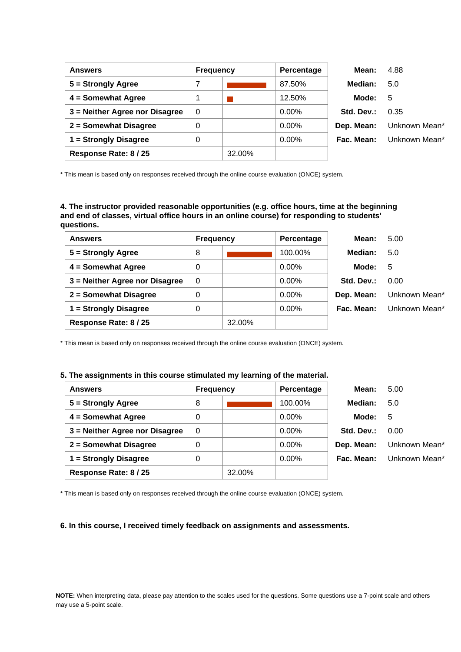| <b>Answers</b>                 | <b>Frequency</b> |        | Percentage | Mean:      | 4.88          |
|--------------------------------|------------------|--------|------------|------------|---------------|
| $5 =$ Strongly Agree           |                  |        | 87.50%     | Median:    | 5.0           |
| 4 = Somewhat Agree             |                  |        | 12.50%     | Mode:      | -5            |
| 3 = Neither Agree nor Disagree | $\overline{0}$   |        | $0.00\%$   | Std. Dev.: | 0.35          |
| 2 = Somewhat Disagree          | 0                |        | $0.00\%$   | Dep. Mean: | Unknown Mean* |
| 1 = Strongly Disagree          | 0                |        | $0.00\%$   | Fac. Mean: | Unknown Mean* |
| Response Rate: 8 / 25          |                  | 32.00% |            |            |               |

**4. The instructor provided reasonable opportunities (e.g. office hours, time at the beginning and end of classes, virtual office hours in an online course) for responding to students' questions.**

| <b>Answers</b>                 | <b>Frequency</b> |        | Percentage | Mean:      | 5.00          |
|--------------------------------|------------------|--------|------------|------------|---------------|
| 5 = Strongly Agree             | 8                |        | 100.00%    | Median:    | 5.0           |
| 4 = Somewhat Agree             | 0                |        | $0.00\%$   | Mode:      | 5             |
| 3 = Neither Agree nor Disagree | $\mathbf 0$      |        | 0.00%      | Std. Dev.: | 0.00          |
| 2 = Somewhat Disagree          | 0                |        | 0.00%      | Dep. Mean: | Unknown Mean* |
| 1 = Strongly Disagree          | 0                |        | $0.00\%$   | Fac. Mean: | Unknown Mean* |
| Response Rate: 8 / 25          |                  | 32.00% |            |            |               |

\* This mean is based only on responses received through the online course evaluation (ONCE) system.

#### **5. The assignments in this course stimulated my learning of the material.**

| <b>Answers</b>                 | <b>Frequency</b> |        | Percentage | Mean:      | 5.00          |
|--------------------------------|------------------|--------|------------|------------|---------------|
| 5 = Strongly Agree             | 8                |        | 100.00%    | Median:    | 5.0           |
| 4 = Somewhat Agree             | 0                |        | $0.00\%$   | Mode:      | -5            |
| 3 = Neither Agree nor Disagree | 0                |        | $0.00\%$   | Std. Dev.: | 0.00          |
| 2 = Somewhat Disagree          | 0                |        | $0.00\%$   | Dep. Mean: | Unknown Mean* |
| 1 = Strongly Disagree          | 0                |        | $0.00\%$   | Fac. Mean: | Unknown Mean* |
| Response Rate: 8 / 25          |                  | 32.00% |            |            |               |

\* This mean is based only on responses received through the online course evaluation (ONCE) system.

#### **6. In this course, I received timely feedback on assignments and assessments.**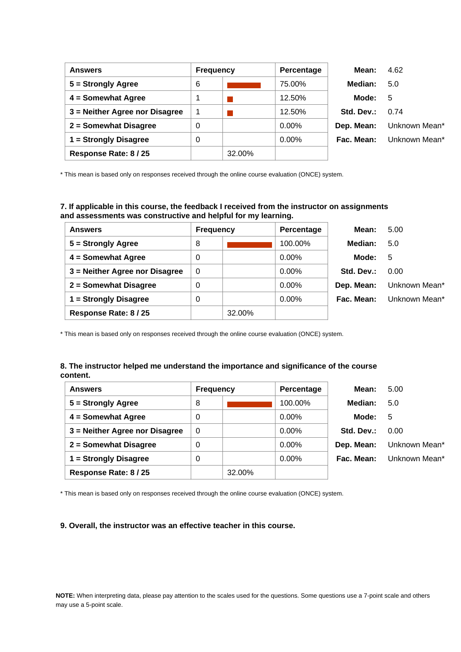| <b>Answers</b>                 | <b>Frequency</b> |        | Percentage | Mean:      | 4.62          |
|--------------------------------|------------------|--------|------------|------------|---------------|
| 5 = Strongly Agree             | 6                |        | 75.00%     | Median:    | 5.0           |
| 4 = Somewhat Agree             |                  |        | 12.50%     | Mode:      | - 5           |
| 3 = Neither Agree nor Disagree | 1                |        | 12.50%     | Std. Dev.: | 0.74          |
| 2 = Somewhat Disagree          | 0                |        | $0.00\%$   | Dep. Mean: | Unknown Mean* |
| 1 = Strongly Disagree          | 0                |        | $0.00\%$   | Fac. Mean: | Unknown Mean* |
| Response Rate: 8 / 25          |                  | 32.00% |            |            |               |

# **7. If applicable in this course, the feedback I received from the instructor on assignments and assessments was constructive and helpful for my learning.**

| <b>Answers</b>                 | <b>Frequency</b> |        | Percentage | Mean:      | 5.00          |
|--------------------------------|------------------|--------|------------|------------|---------------|
| 5 = Strongly Agree             | 8                |        | 100.00%    | Median:    | 5.0           |
| 4 = Somewhat Agree             | 0                |        | $0.00\%$   | Mode:      | 5             |
| 3 = Neither Agree nor Disagree | $\Omega$         |        | $0.00\%$   | Std. Dev.: | 0.00          |
| 2 = Somewhat Disagree          | 0                |        | $0.00\%$   | Dep. Mean: | Unknown Mean* |
| 1 = Strongly Disagree          | 0                |        | $0.00\%$   | Fac. Mean: | Unknown Mean* |
| Response Rate: 8 / 25          |                  | 32.00% |            |            |               |

\* This mean is based only on responses received through the online course evaluation (ONCE) system.

### **8. The instructor helped me understand the importance and significance of the course content.**

| <b>Answers</b>                 | <b>Frequency</b> |        | Percentage | Mean:      | 5.00          |
|--------------------------------|------------------|--------|------------|------------|---------------|
| 5 = Strongly Agree             | 8                |        | 100.00%    | Median:    | 5.0           |
| 4 = Somewhat Agree             | 0                |        | 0.00%      | Mode:      | 5             |
| 3 = Neither Agree nor Disagree | 0                |        | $0.00\%$   | Std. Dev.: | 0.00          |
| 2 = Somewhat Disagree          | 0                |        | 0.00%      | Dep. Mean: | Unknown Mean* |
| 1 = Strongly Disagree          | 0                |        | $0.00\%$   | Fac. Mean: | Unknown Mean* |
| Response Rate: 8 / 25          |                  | 32.00% |            |            |               |

\* This mean is based only on responses received through the online course evaluation (ONCE) system.

#### **9. Overall, the instructor was an effective teacher in this course.**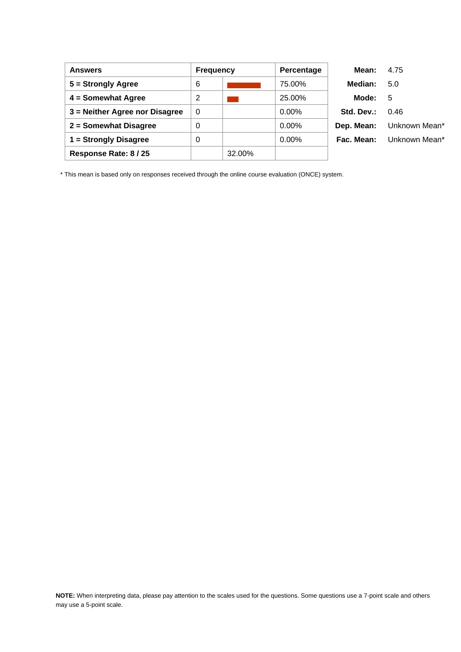| <b>Answers</b>                 | <b>Frequency</b> |        | Percentage | Mean:      | 4.75          |
|--------------------------------|------------------|--------|------------|------------|---------------|
| $5 =$ Strongly Agree           | 6                |        | 75.00%     | Median:    | 5.0           |
| 4 = Somewhat Agree             | 2                |        | 25.00%     | Mode:      | 5             |
| 3 = Neither Agree nor Disagree | $\Omega$         |        | $0.00\%$   | Std. Dev.: | 0.46          |
| 2 = Somewhat Disagree          | 0                |        | $0.00\%$   | Dep. Mean: | Unknown Mean* |
| 1 = Strongly Disagree          | 0                |        | $0.00\%$   | Fac. Mean: | Unknown Mean* |
| Response Rate: 8 / 25          |                  | 32.00% |            |            |               |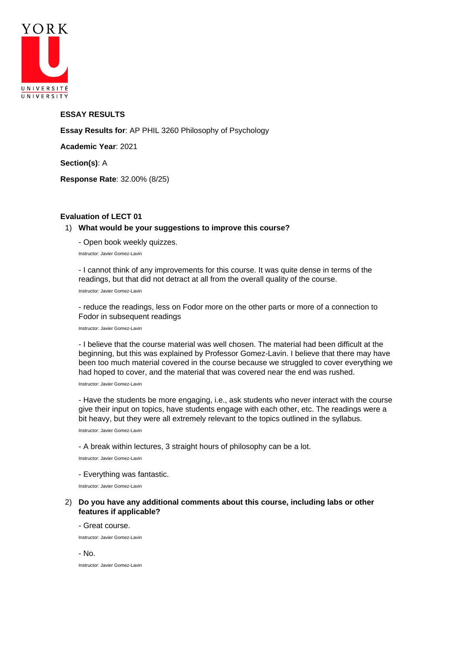

## **ESSAY RESULTS**

**Essay Results for**: AP PHIL 3260 Philosophy of Psychology

**Academic Year**: 2021

**Section(s)**: A

**Response Rate**: 32.00% (8/25)

## **Evaluation of LECT 01**

#### 1) **What would be your suggestions to improve this course?**

- Open book weekly quizzes.

Instructor: Javier Gomez-Lavin

- I cannot think of any improvements for this course. It was quite dense in terms of the readings, but that did not detract at all from the overall quality of the course.

Instructor: Javier Gomez-Lavin

- reduce the readings, less on Fodor more on the other parts or more of a connection to Fodor in subsequent readings

Instructor: Javier Gomez-Lavin

- I believe that the course material was well chosen. The material had been difficult at the beginning, but this was explained by Professor Gomez-Lavin. I believe that there may have been too much material covered in the course because we struggled to cover everything we had hoped to cover, and the material that was covered near the end was rushed.

Instructor: Javier Gomez-Lavin

- Have the students be more engaging, i.e., ask students who never interact with the course give their input on topics, have students engage with each other, etc. The readings were a bit heavy, but they were all extremely relevant to the topics outlined in the syllabus.

Instructor: Javier Gomez-Lavin

- A break within lectures, 3 straight hours of philosophy can be a lot.

Instructor: Javier Gomez-Lavin

#### - Everything was fantastic.

Instructor: Javier Gomez-Lavin

#### 2) **Do you have any additional comments about this course, including labs or other features if applicable?**

- Great course.

Instructor: Javier Gomez-Lavin

- No.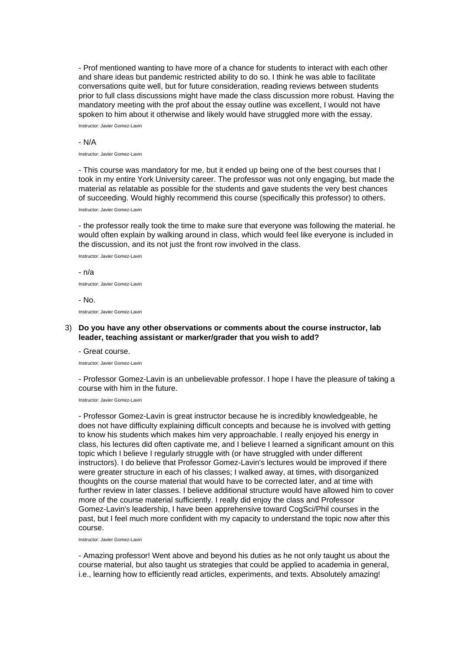- Prof mentioned wanting to have more of a chance for students to interact with each other and share ideas but pandemic restricted ability to do so. I think he was able to facilitate conversations quite well, but for future consideration, reading reviews between students prior to full class discussions might have made the class discussion more robust. Having the mandatory meeting with the prof about the essay outline was excellent, I would not have spoken to him about it otherwise and likely would have struggled more with the essay.

Instructor: Javier Gomez-Lavin

#### - N/A

Instructor: Javier Gomez-Lavin

- This course was mandatory for me, but it ended up being one of the best courses that I took in my entire York University career. The professor was not only engaging, but made the material as relatable as possible for the students and gave students the very best chances of succeeding. Would highly recommend this course (specifically this professor) to others.

Instructor: Javier Gomez-Lavin

- the professor really took the time to make sure that everyone was following the material. he would often explain by walking around in class, which would feel like everyone is included in the discussion, and its not just the front row involved in the class.

Instructor: Javier Gomez-Lavin

- n/a Instructor: Javier Gomez-Lavin - No.

Instructor: Javier Gomez-Lavin

### 3) **Do you have any other observations or comments about the course instructor, lab leader, teaching assistant or marker/grader that you wish to add?**

- Great course.

Instructor: Javier Gomez-Lavin

- Professor Gomez-Lavin is an unbelievable professor. I hope I have the pleasure of taking a course with him in the future.

Instructor: Javier Gomez-Lavin

- Professor Gomez-Lavin is great instructor because he is incredibly knowledgeable, he does not have difficulty explaining difficult concepts and because he is involved with getting to know his students which makes him very approachable. I really enjoyed his energy in class, his lectures did often captivate me, and I believe I learned a significant amount on this topic which I believe I regularly struggle with (or have struggled with under different instructors). I do believe that Professor Gomez-Lavin's lectures would be improved if there were greater structure in each of his classes; I walked away, at times, with disorganized thoughts on the course material that would have to be corrected later, and at time with further review in later classes. I believe additional structure would have allowed him to cover more of the course material sufficiently. I really did enjoy the class and Professor Gomez-Lavin's leadership, I have been apprehensive toward CogSci/Phil courses in the past, but I feel much more confident with my capacity to understand the topic now after this course.

Instructor: Javier Gomez-Lavin

- Amazing professor! Went above and beyond his duties as he not only taught us about the course material, but also taught us strategies that could be applied to academia in general, i.e., learning how to efficiently read articles, experiments, and texts. Absolutely amazing!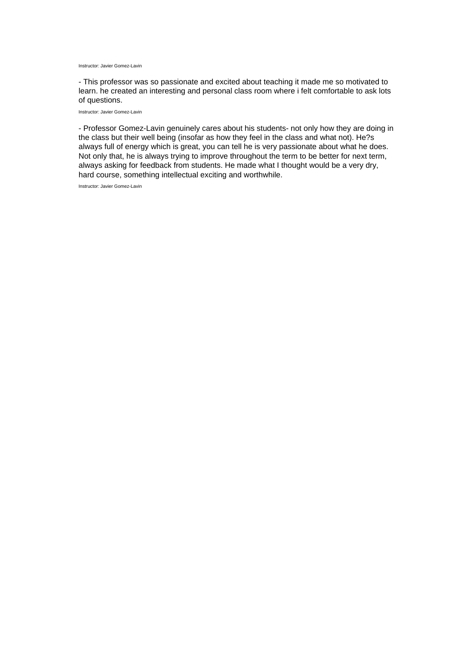Instructor: Javier Gomez-Lavin

- This professor was so passionate and excited about teaching it made me so motivated to learn. he created an interesting and personal class room where i felt comfortable to ask lots of questions.

Instructor: Javier Gomez-Lavin

- Professor Gomez-Lavin genuinely cares about his students- not only how they are doing in the class but their well being (insofar as how they feel in the class and what not). He?s always full of energy which is great, you can tell he is very passionate about what he does. Not only that, he is always trying to improve throughout the term to be better for next term, always asking for feedback from students. He made what I thought would be a very dry, hard course, something intellectual exciting and worthwhile.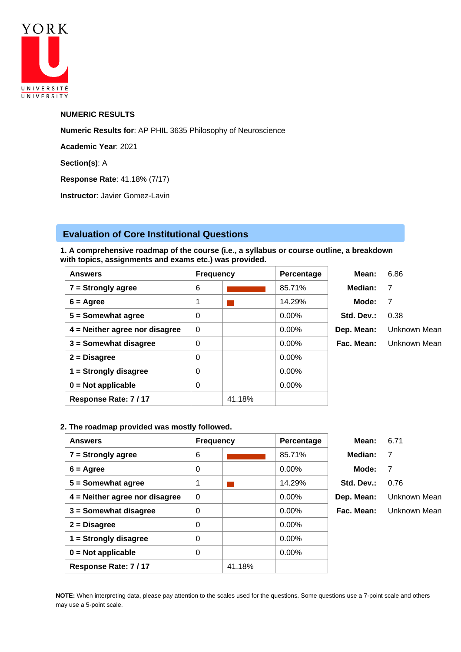

## **NUMERIC RESULTS**

**Numeric Results for**: AP PHIL 3635 Philosophy of Neuroscience

**Academic Year**: 2021

**Section(s)**: A

**Response Rate**: 41.18% (7/17)

**Instructor**: Javier Gomez-Lavin

# **Evaluation of Core Institutional Questions**

**1. A comprehensive roadmap of the course (i.e., a syllabus or course outline, a breakdown with topics, assignments and exams etc.) was provided.**

| <b>Answers</b>                   | <b>Frequency</b> |        | Percentage | Mean:      | 6.86         |
|----------------------------------|------------------|--------|------------|------------|--------------|
| $7 =$ Strongly agree             | 6                |        | 85.71%     | Median:    | 7            |
| $6 = \text{Agree}$               | 1                |        | 14.29%     | Mode:      | 7            |
| $5 =$ Somewhat agree             | 0                |        | $0.00\%$   | Std. Dev.: | 0.38         |
| $4$ = Neither agree nor disagree | $\Omega$         |        | $0.00\%$   | Dep. Mean: | Unknown Mean |
| $3 =$ Somewhat disagree          | 0                |        | $0.00\%$   | Fac. Mean: | Unknown Mean |
| $2 = Disagree$                   | 0                |        | 0.00%      |            |              |
| $1 =$ Strongly disagree          | 0                |        | $0.00\%$   |            |              |
| $0 = Not applicable$             | 0                |        | 0.00%      |            |              |
| Response Rate: 7/17              |                  | 41.18% |            |            |              |

# **2. The roadmap provided was mostly followed.**

| <b>Answers</b>                   | <b>Frequency</b> |        | Percentage | Mean:      | 6.71         |
|----------------------------------|------------------|--------|------------|------------|--------------|
| $7 =$ Strongly agree             | 6                |        | 85.71%     | Median:    | 7            |
| $6 = \text{Agree}$               | 0                |        | 0.00%      | Mode:      | 7            |
| $5 =$ Somewhat agree             | 1                |        | 14.29%     | Std. Dev.: | 0.76         |
| $4$ = Neither agree nor disagree | $\mathbf 0$      |        | $0.00\%$   | Dep. Mean: | Unknown Mean |
| $3 =$ Somewhat disagree          | 0                |        | $0.00\%$   | Fac. Mean: | Unknown Mean |
| $2 = Disagree$                   | 0                |        | 0.00%      |            |              |
| $1 =$ Strongly disagree          | 0                |        | 0.00%      |            |              |
| $0 = Not applicable$             | 0                |        | 0.00%      |            |              |
| Response Rate: 7/17              |                  | 41.18% |            |            |              |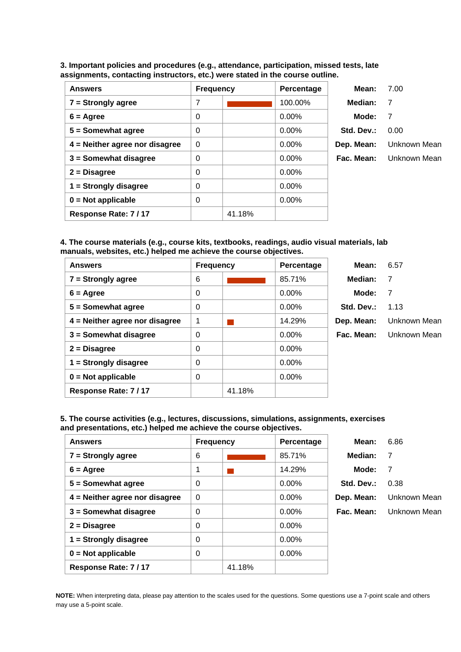**3. Important policies and procedures (e.g., attendance, participation, missed tests, late assignments, contacting instructors, etc.) were stated in the course outline.**

| <b>Answers</b>                   | <b>Frequency</b> |        | Percentage | Mean:      | 7.00           |
|----------------------------------|------------------|--------|------------|------------|----------------|
| $7 =$ Strongly agree             | 7                |        | 100.00%    | Median:    | - 7            |
| $6 = \text{Agree}$               | 0                |        | $0.00\%$   | Mode:      | $\overline{7}$ |
| $5 =$ Somewhat agree             | 0                |        | $0.00\%$   | Std. Dev.: | 0.00           |
| $4$ = Neither agree nor disagree | $\Omega$         |        | $0.00\%$   | Dep. Mean: | Unknown Mean   |
| $3 =$ Somewhat disagree          | 0                |        | $0.00\%$   | Fac. Mean: | Unknown Mean   |
| $2 = Disagree$                   | 0                |        | 0.00%      |            |                |
| $1 =$ Strongly disagree          | 0                |        | $0.00\%$   |            |                |
| $0 = Not applicable$             | 0                |        | $0.00\%$   |            |                |
| Response Rate: 7/17              |                  | 41.18% |            |            |                |

**4. The course materials (e.g., course kits, textbooks, readings, audio visual materials, lab manuals, websites, etc.) helped me achieve the course objectives.**

| <b>Answers</b>                   | <b>Frequency</b> |        | Percentage | Mean:      | 6.57         |
|----------------------------------|------------------|--------|------------|------------|--------------|
| $7 =$ Strongly agree             | 6                |        | 85.71%     | Median:    | 7            |
| $6 = \text{Agree}$               | 0                |        | $0.00\%$   | Mode:      | 7            |
| $5 =$ Somewhat agree             | 0                |        | $0.00\%$   | Std. Dev.: | 1.13         |
| $4$ = Neither agree nor disagree | 1                |        | 14.29%     | Dep. Mean: | Unknown Mean |
| $3 =$ Somewhat disagree          | 0                |        | $0.00\%$   | Fac. Mean: | Unknown Mean |
| $2 = Disagree$                   | 0                |        | $0.00\%$   |            |              |
| $1 =$ Strongly disagree          | $\Omega$         |        | $0.00\%$   |            |              |
| $0 = Not applicable$             | 0                |        | $0.00\%$   |            |              |
| Response Rate: 7/17              |                  | 41.18% |            |            |              |

**5. The course activities (e.g., lectures, discussions, simulations, assignments, exercises and presentations, etc.) helped me achieve the course objectives.**

| <b>Answers</b>                   | <b>Frequency</b> |        | Percentage | Mean:      | 6.86         |
|----------------------------------|------------------|--------|------------|------------|--------------|
| $7 =$ Strongly agree             | 6                |        | 85.71%     | Median:    | 7            |
| $6 = \text{Agree}$               | 1                |        | 14.29%     | Mode:      | -7           |
| $5 =$ Somewhat agree             | 0                |        | $0.00\%$   | Std. Dev.: | 0.38         |
| $4$ = Neither agree nor disagree | $\Omega$         |        | $0.00\%$   | Dep. Mean: | Unknown Mean |
| $3 =$ Somewhat disagree          | 0                |        | $0.00\%$   | Fac. Mean: | Unknown Mean |
| $2 = Disagree$                   | 0                |        | $0.00\%$   |            |              |
| $1 =$ Strongly disagree          | 0                |        | $0.00\%$   |            |              |
| $0 = Not applicable$             | 0                |        | $0.00\%$   |            |              |
| Response Rate: 7/17              |                  | 41.18% |            |            |              |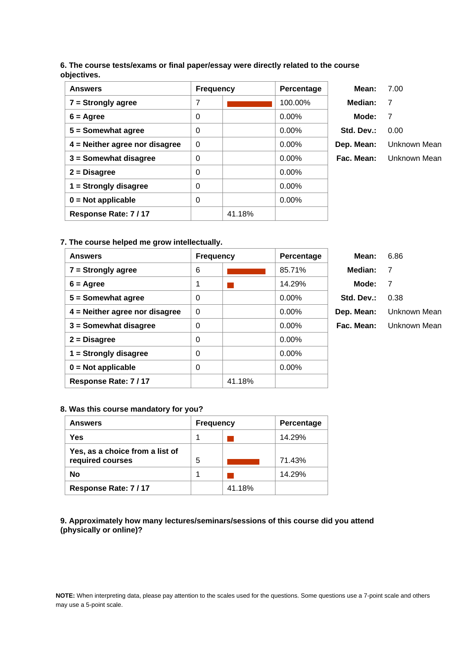# **6. The course tests/exams or final paper/essay were directly related to the course objectives.**

| <b>Answers</b>                   | <b>Frequency</b> |        | Percentage | Mean:      | 7.00           |
|----------------------------------|------------------|--------|------------|------------|----------------|
| $7 =$ Strongly agree             | 7                |        | 100.00%    | Median:    | $\overline{7}$ |
| $6 = \text{Agree}$               | 0                |        | $0.00\%$   | Mode:      | 7              |
| $5 =$ Somewhat agree             | 0                |        | $0.00\%$   | Std. Dev.: | 0.00           |
| $4$ = Neither agree nor disagree | $\Omega$         |        | $0.00\%$   | Dep. Mean: | Unknown Mean   |
| $3 =$ Somewhat disagree          | $\mathbf 0$      |        | $0.00\%$   | Fac. Mean: | Unknown Mean   |
| $2 = Disagree$                   | 0                |        | $0.00\%$   |            |                |
| $1 =$ Strongly disagree          | 0                |        | $0.00\%$   |            |                |
| $0 = Not applicable$             | $\Omega$         |        | $0.00\%$   |            |                |
| Response Rate: 7/17              |                  | 41.18% |            |            |                |

# **7. The course helped me grow intellectually.**

| <b>Answers</b>                   | <b>Frequency</b> |        | <b>Percentage</b> | Mean:      | 6.86           |
|----------------------------------|------------------|--------|-------------------|------------|----------------|
| $7 =$ Strongly agree             | 6                |        | 85.71%            | Median:    | $\overline{7}$ |
| $6 = \text{Agree}$               | 1                |        | 14.29%            | Mode:      | 7              |
| $5 =$ Somewhat agree             | $\Omega$         |        | $0.00\%$          | Std. Dev.: | 0.38           |
| $4$ = Neither agree nor disagree | $\Omega$         |        | $0.00\%$          | Dep. Mean: | Unknown Mean   |
| $3 =$ Somewhat disagree          | 0                |        | $0.00\%$          | Fac. Mean: | Unknown Mean   |
| $2 = Disagree$                   | $\Omega$         |        | $0.00\%$          |            |                |
| $1 =$ Strongly disagree          | $\Omega$         |        | $0.00\%$          |            |                |
| $0 = Not applicable$             | $\Omega$         |        | $0.00\%$          |            |                |
| Response Rate: 7/17              |                  | 41.18% |                   |            |                |

## **8. Was this course mandatory for you?**

| <b>Answers</b>                                      | <b>Frequency</b> |        | <b>Percentage</b> |
|-----------------------------------------------------|------------------|--------|-------------------|
| Yes                                                 |                  |        | 14.29%            |
| Yes, as a choice from a list of<br>required courses | 5                |        | 71.43%            |
| <b>No</b>                                           |                  |        | 14.29%            |
| Response Rate: 7/17                                 |                  | 41.18% |                   |

**9. Approximately how many lectures/seminars/sessions of this course did you attend (physically or online)?**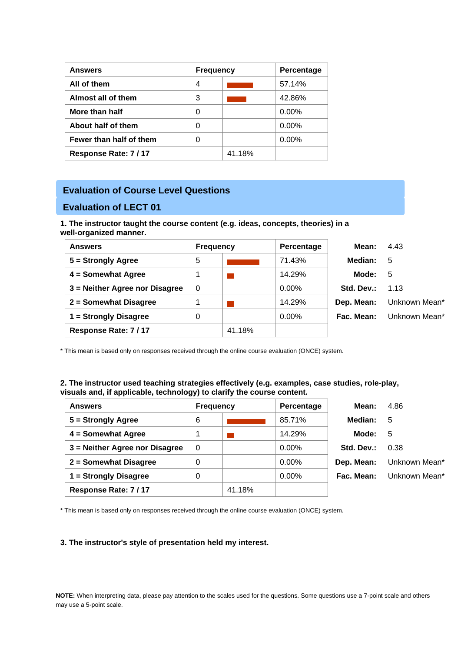| <b>Answers</b>          | <b>Frequency</b> |        | <b>Percentage</b> |
|-------------------------|------------------|--------|-------------------|
| All of them             | 4                |        | 57.14%            |
| Almost all of them      | 3                |        | 42.86%            |
| More than half          | 0                |        | $0.00\%$          |
| About half of them      | 0                |        | $0.00\%$          |
| Fewer than half of them | 0                |        | $0.00\%$          |
| Response Rate: 7/17     |                  | 41.18% |                   |

# **Evaluation of Course Level Questions**

# **Evaluation of LECT 01**

**1. The instructor taught the course content (e.g. ideas, concepts, theories) in a well-organized manner.**

| <b>Answers</b>                 | <b>Frequency</b> |        | Percentage | Mean:      | 4.43          |
|--------------------------------|------------------|--------|------------|------------|---------------|
| 5 = Strongly Agree             | 5                |        | 71.43%     | Median:    | 5             |
| 4 = Somewhat Agree             |                  |        | 14.29%     | Mode:      | -5            |
| 3 = Neither Agree nor Disagree | $\Omega$         |        | 0.00%      | Std. Dev.: | 1.13          |
| 2 = Somewhat Disagree          |                  |        | 14.29%     | Dep. Mean: | Unknown Mean* |
| 1 = Strongly Disagree          | 0                |        | $0.00\%$   | Fac. Mean: | Unknown Mean* |
| Response Rate: 7/17            |                  | 41.18% |            |            |               |

\* This mean is based only on responses received through the online course evaluation (ONCE) system.

## **2. The instructor used teaching strategies effectively (e.g. examples, case studies, role-play, visuals and, if applicable, technology) to clarify the course content.**

| <b>Answers</b>                 |   | <b>Frequency</b> | Percentage | Mean:      | 4.86          |
|--------------------------------|---|------------------|------------|------------|---------------|
| $5 =$ Strongly Agree           | 6 |                  | 85.71%     | Median:    | 5             |
| 4 = Somewhat Agree             | 1 |                  | 14.29%     | Mode:      | 5             |
| 3 = Neither Agree nor Disagree | 0 |                  | $0.00\%$   | Std. Dev.: | 0.38          |
| 2 = Somewhat Disagree          | 0 |                  | 0.00%      | Dep. Mean: | Unknown Mean* |
| 1 = Strongly Disagree          | 0 |                  | 0.00%      | Fac. Mean: | Unknown Mean* |
| Response Rate: 7/17            |   | 41.18%           |            |            |               |

\* This mean is based only on responses received through the online course evaluation (ONCE) system.

## **3. The instructor's style of presentation held my interest.**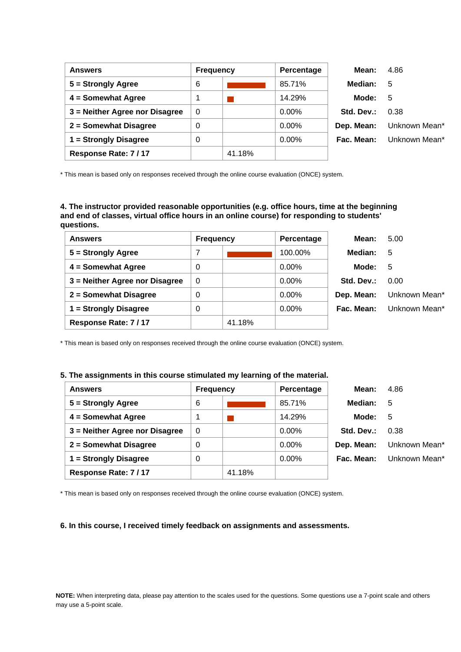| <b>Answers</b>                 | <b>Frequency</b> |        | Percentage | Mean:      | 4.86          |
|--------------------------------|------------------|--------|------------|------------|---------------|
| $5 =$ Strongly Agree           | 6                |        | 85.71%     | Median:    | - 5           |
| 4 = Somewhat Agree             |                  |        | 14.29%     | Mode:      | -5            |
| 3 = Neither Agree nor Disagree | $\overline{0}$   |        | $0.00\%$   | Std. Dev.: | 0.38          |
| 2 = Somewhat Disagree          | 0                |        | $0.00\%$   | Dep. Mean: | Unknown Mean* |
| 1 = Strongly Disagree          | 0                |        | $0.00\%$   | Fac. Mean: | Unknown Mean* |
| Response Rate: 7/17            |                  | 41.18% |            |            |               |

**4. The instructor provided reasonable opportunities (e.g. office hours, time at the beginning and end of classes, virtual office hours in an online course) for responding to students' questions.**

| <b>Answers</b>                 | <b>Frequency</b> |        | Percentage | Mean:      | 5.00          |
|--------------------------------|------------------|--------|------------|------------|---------------|
| $5 =$ Strongly Agree           | 7                |        | 100.00%    | Median:    | 5             |
| $4 =$ Somewhat Agree           | 0                |        | $0.00\%$   | Mode:      | 5             |
| 3 = Neither Agree nor Disagree | $\Omega$         |        | $0.00\%$   | Std. Dev.: | 0.00          |
| 2 = Somewhat Disagree          | 0                |        | 0.00%      | Dep. Mean: | Unknown Mean* |
| 1 = Strongly Disagree          | 0                |        | $0.00\%$   | Fac. Mean: | Unknown Mean* |
| Response Rate: 7/17            |                  | 41.18% |            |            |               |

\* This mean is based only on responses received through the online course evaluation (ONCE) system.

#### **5. The assignments in this course stimulated my learning of the material.**

| <b>Answers</b>                 | <b>Frequency</b> |        | Percentage | Mean:      | 4.86          |
|--------------------------------|------------------|--------|------------|------------|---------------|
| $5 =$ Strongly Agree           | 6                |        | 85.71%     | Median:    | 5             |
| 4 = Somewhat Agree             | 1                |        | 14.29%     | Mode:      | 5             |
| 3 = Neither Agree nor Disagree | $\Omega$         |        | $0.00\%$   | Std. Dev.: | 0.38          |
| 2 = Somewhat Disagree          | 0                |        | $0.00\%$   | Dep. Mean: | Unknown Mean* |
| 1 = Strongly Disagree          | 0                |        | $0.00\%$   | Fac. Mean: | Unknown Mean* |
| Response Rate: 7/17            |                  | 41.18% |            |            |               |

\* This mean is based only on responses received through the online course evaluation (ONCE) system.

#### **6. In this course, I received timely feedback on assignments and assessments.**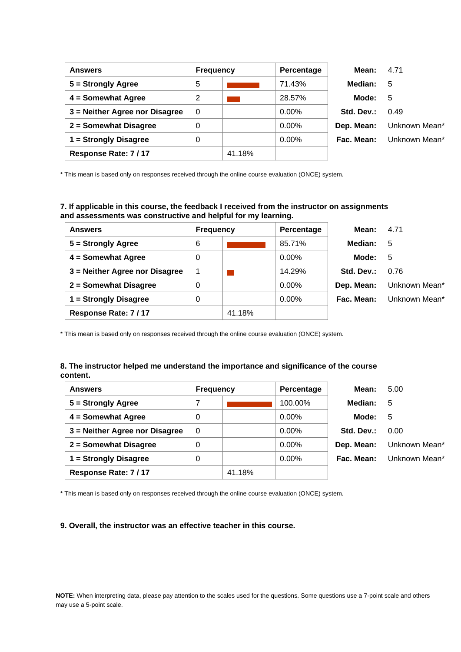| <b>Answers</b>                 | <b>Frequency</b> |        | Percentage | Mean:      | 4.71          |
|--------------------------------|------------------|--------|------------|------------|---------------|
| 5 = Strongly Agree             | 5                |        | 71.43%     | Median:    | 5             |
| 4 = Somewhat Agree             | 2                |        | 28.57%     | Mode:      | -5            |
| 3 = Neither Agree nor Disagree | 0                |        | $0.00\%$   | Std. Dev.: | 0.49          |
| 2 = Somewhat Disagree          | 0                |        | $0.00\%$   | Dep. Mean: | Unknown Mean* |
| 1 = Strongly Disagree          | 0                |        | $0.00\%$   | Fac. Mean: | Unknown Mean* |
| Response Rate: 7/17            |                  | 41.18% |            |            |               |

# **7. If applicable in this course, the feedback I received from the instructor on assignments and assessments was constructive and helpful for my learning.**

| <b>Answers</b>                 | <b>Frequency</b> |        | Percentage | Mean:      | 4.71          |
|--------------------------------|------------------|--------|------------|------------|---------------|
| $5 =$ Strongly Agree           | 6                |        | 85.71%     | Median:    | 5             |
| 4 = Somewhat Agree             | 0                |        | $0.00\%$   | Mode:      | 5             |
| 3 = Neither Agree nor Disagree | 1                |        | 14.29%     | Std. Dev.: | 0.76          |
| 2 = Somewhat Disagree          | $\overline{0}$   |        | 0.00%      | Dep. Mean: | Unknown Mean* |
| 1 = Strongly Disagree          | 0                |        | 0.00%      | Fac. Mean: | Unknown Mean* |
| Response Rate: 7/17            |                  | 41.18% |            |            |               |

\* This mean is based only on responses received through the online course evaluation (ONCE) system.

### **8. The instructor helped me understand the importance and significance of the course content.**

| <b>Answers</b>                 | <b>Frequency</b> |        | Percentage | Mean:      | 5.00          |
|--------------------------------|------------------|--------|------------|------------|---------------|
| 5 = Strongly Agree             |                  |        | 100.00%    | Median:    | 5             |
| 4 = Somewhat Agree             | 0                |        | 0.00%      | Mode:      | -5            |
| 3 = Neither Agree nor Disagree | 0                |        | 0.00%      | Std. Dev.: | 0.00          |
| 2 = Somewhat Disagree          | 0                |        | 0.00%      | Dep. Mean: | Unknown Mean* |
| 1 = Strongly Disagree          | 0                |        | 0.00%      | Fac. Mean: | Unknown Mean* |
| Response Rate: 7/17            |                  | 41.18% |            |            |               |

\* This mean is based only on responses received through the online course evaluation (ONCE) system.

## **9. Overall, the instructor was an effective teacher in this course.**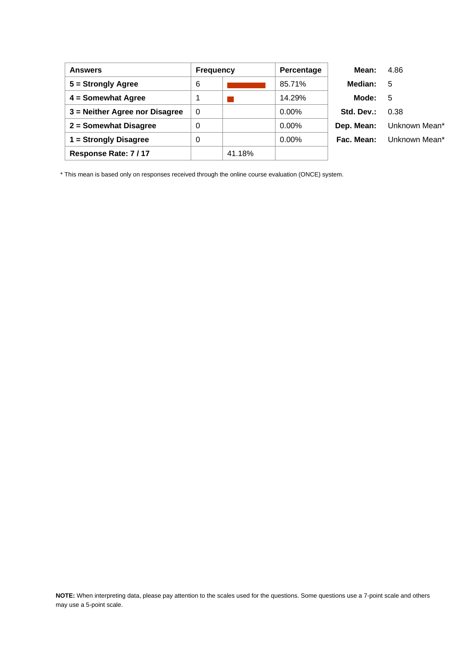| <b>Answers</b>                 | <b>Frequency</b> |        | Percentage | Mean:      | 4.86          |
|--------------------------------|------------------|--------|------------|------------|---------------|
| $5 =$ Strongly Agree           | 6                |        | 85.71%     | Median:    | -5            |
| 4 = Somewhat Agree             | 1                |        | 14.29%     | Mode:      | 5             |
| 3 = Neither Agree nor Disagree | 0                |        | $0.00\%$   | Std. Dev.: | 0.38          |
| 2 = Somewhat Disagree          | 0                |        | $0.00\%$   | Dep. Mean: | Unknown Mean* |
| 1 = Strongly Disagree          | 0                |        | $0.00\%$   | Fac. Mean: | Unknown Mean* |
| Response Rate: 7/17            |                  | 41.18% |            |            |               |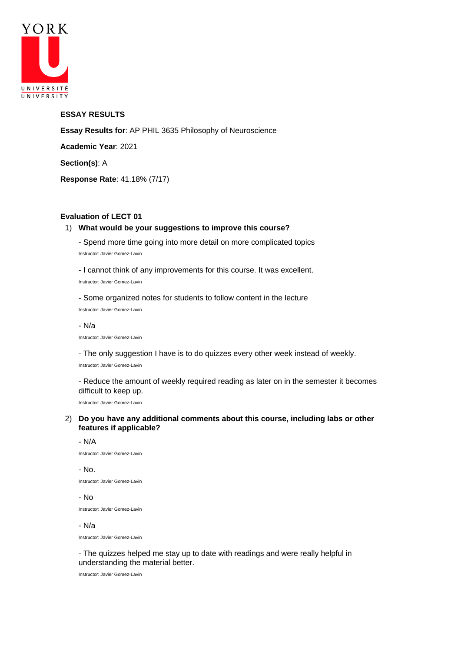

## **ESSAY RESULTS**

**Essay Results for**: AP PHIL 3635 Philosophy of Neuroscience **Academic Year**: 2021 **Section(s)**: A

**Response Rate**: 41.18% (7/17)

# **Evaluation of LECT 01**

## 1) **What would be your suggestions to improve this course?**

- Spend more time going into more detail on more complicated topics Instructor: Javier Gomez-Lavin

- I cannot think of any improvements for this course. It was excellent. Instructor: Javier Gomez-Lavin

- Some organized notes for students to follow content in the lecture Instructor: Javier Gomez-Lavin

- N/a

Instructor: Javier Gomez-Lavin

- The only suggestion I have is to do quizzes every other week instead of weekly. Instructor: Javier Gomez-Lavin

- Reduce the amount of weekly required reading as later on in the semester it becomes difficult to keep up.

Instructor: Javier Gomez-Lavin

## 2) **Do you have any additional comments about this course, including labs or other features if applicable?**

#### - N/A

Instructor: Javier Gomez-Lavin

- No. Instructor: Javier Gomez-Lavin

- No

Instructor: Javier Gomez-Lavin

#### - N/a

Instructor: Javier Gomez-Lavin

- The quizzes helped me stay up to date with readings and were really helpful in understanding the material better.